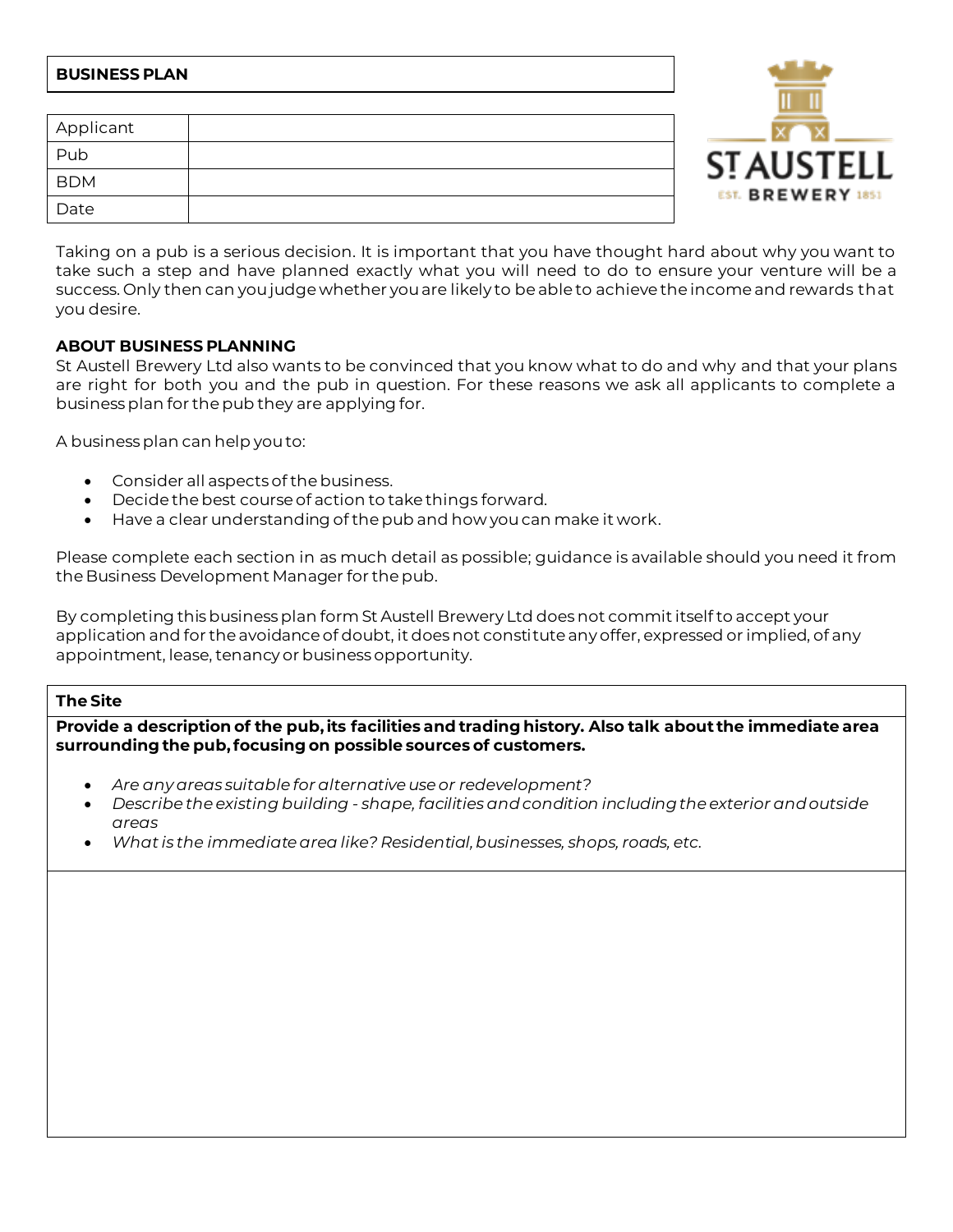### **BUSINESS PLAN**

| Applicant  |  |
|------------|--|
| Pub        |  |
| <b>BDM</b> |  |
| Date       |  |



Taking on a pub is a serious decision. It is important that you have thought hard about why you want to take such a step and have planned exactly what you will need to do to ensure your venture will be a success. Only then can you judge whether you are likely to be able to achieve the income and rewards that you desire.

## **ABOUT BUSINESS PLANNING**

St Austell Brewery Ltd also wants to be convinced that you know what to do and why and that your plans are right for both you and the pub in question. For these reasons we ask all applicants to complete a business plan for the pub they are applying for.

A business plan can help you to:

- Consider all aspects of the business.
- Decide the best course of action to take things forward.
- Have a clear understanding of the pub and how you can make it work.

Please complete each section in as much detail as possible; guidance is available should you need it from the Business Development Manager for the pub.

By completing this business plan form St Austell Brewery Ltd does not commit itself to accept your application and for the avoidance of doubt, it does not constitute any offer, expressed or implied, of any appointment, lease, tenancy or business opportunity.

### **The Site**

**Provide a description of the pub, its facilities and trading history. Also talk about the immediate area surrounding the pub, focusing on possible sources of customers.** 

- *Are any areas suitable for alternative use or redevelopment?*
- *Describe the existing building - shape, facilities and condition including the exterior and outside areas*
- *What is the immediate area like? Residential, businesses, shops, roads, etc.*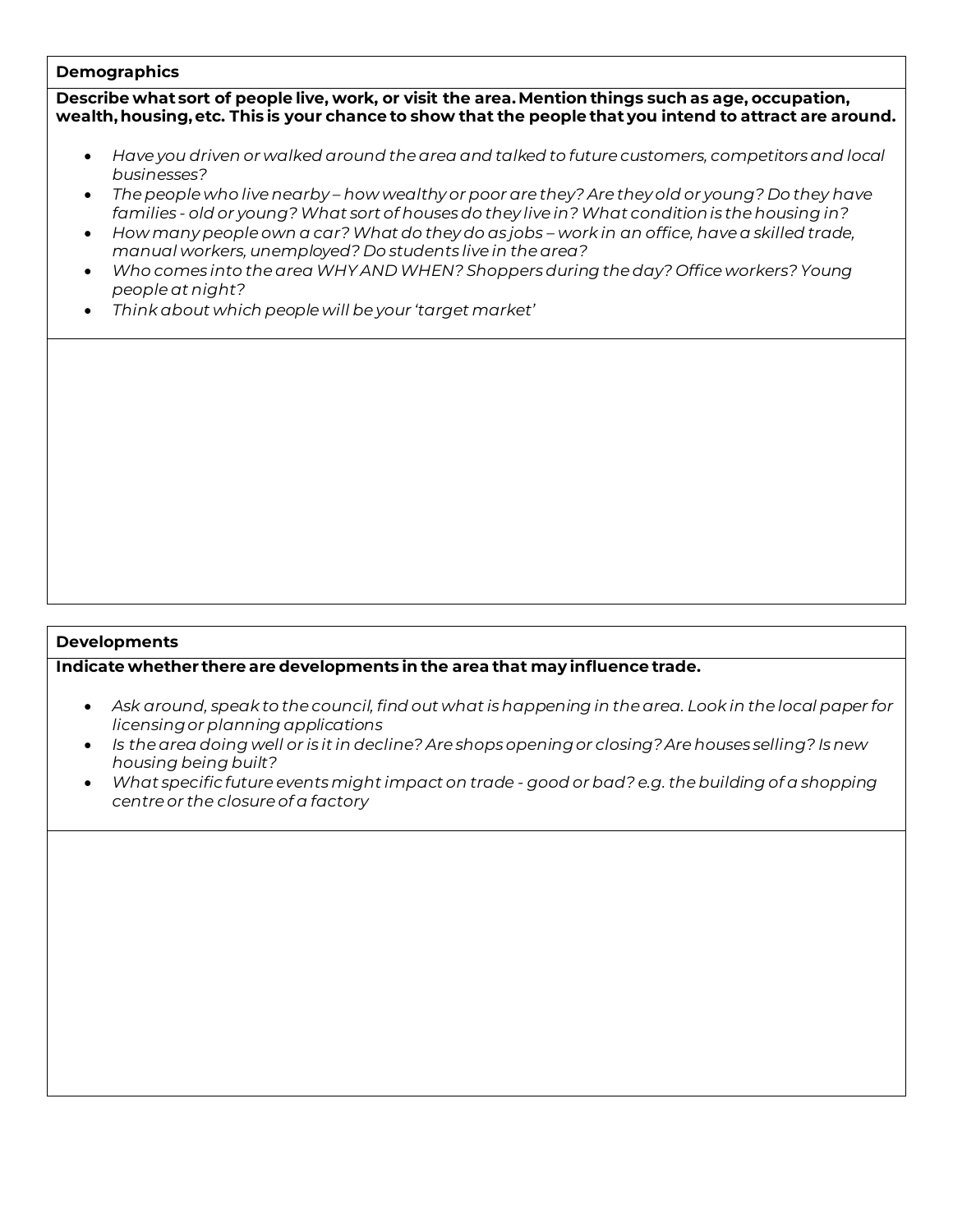### **Demographics**

**Describe what sort of people live, work, or visit the area. Mention things such as age, occupation, wealth, housing, etc. This is your chance to show that the people that you intend to attract are around.**

- *Have you driven or walked around the area and talked to future customers, competitors and local businesses?*
- *The people who live nearby – how wealthy or poor are they? Are they old or young? Do they have families - old or young? What sort of houses do they live in? What condition is the housing in?*
- How many people own a car? What do they do as jobs work in an office, have a skilled trade, *manual workers, unemployed? Do students live in the area?*
- *Who comes into the area WHY AND WHEN? Shoppers during the day? Office workers? Young people at night?*
- *Think about which people will be your 'target market'*

## **Developments**

### **Indicate whether there are developments in the area that may influence trade.**

- *Ask around, speak to the council, find out what is happening in the area. Look in the local paper for licensing or planning applications*
- *Is the area doing well or is it in decline? Are shops opening or closing? Are houses selling? Is new housing being built?*
- *What specific future events might impact on trade - good or bad? e.g. the building of a shopping centre or the closure of a factory*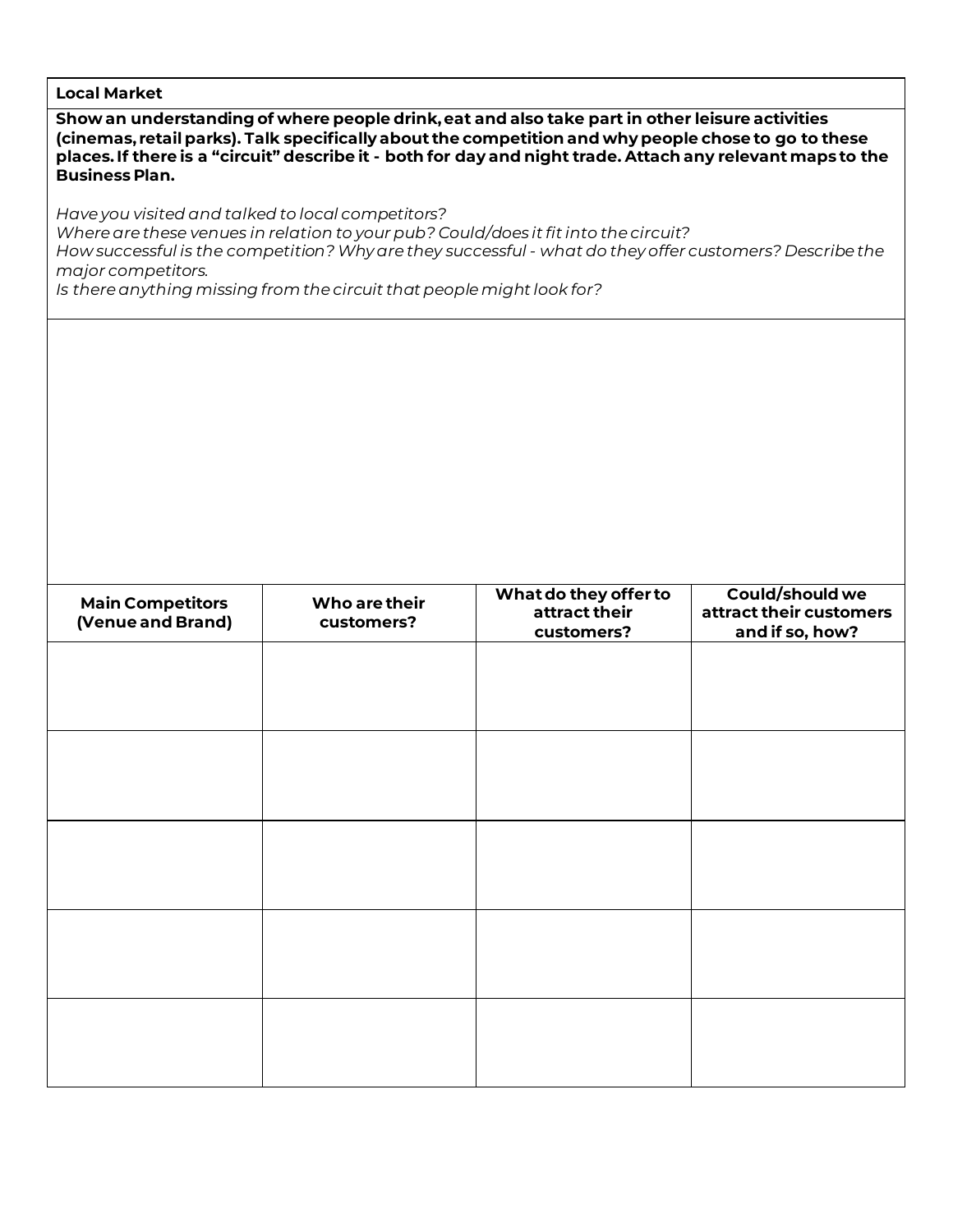| <b>Local Market</b>                                                                                                                                                                                                                                                                                                                                 |                             |                                                      |                                                               |  |  |
|-----------------------------------------------------------------------------------------------------------------------------------------------------------------------------------------------------------------------------------------------------------------------------------------------------------------------------------------------------|-----------------------------|------------------------------------------------------|---------------------------------------------------------------|--|--|
| Show an understanding of where people drink, eat and also take part in other leisure activities<br>(cinemas, retail parks). Talk specifically about the competition and why people chose to go to these<br>places. If there is a "circuit" describe it - both for day and night trade. Attach any relevant maps to the<br><b>Business Plan.</b>     |                             |                                                      |                                                               |  |  |
| Have you visited and talked to local competitors?<br>Where are these venues in relation to your pub? Could/does it fit into the circuit?<br>How successful is the competition? Why are they successful - what do they offer customers? Describe the<br>major competitors.<br>Is there anything missing from the circuit that people might look for? |                             |                                                      |                                                               |  |  |
|                                                                                                                                                                                                                                                                                                                                                     |                             |                                                      |                                                               |  |  |
|                                                                                                                                                                                                                                                                                                                                                     |                             |                                                      |                                                               |  |  |
|                                                                                                                                                                                                                                                                                                                                                     |                             |                                                      |                                                               |  |  |
|                                                                                                                                                                                                                                                                                                                                                     |                             |                                                      |                                                               |  |  |
| <b>Main Competitors</b><br>(Venue and Brand)                                                                                                                                                                                                                                                                                                        | Who are their<br>customers? | What do they offer to<br>attract their<br>customers? | Could/should we<br>attract their customers<br>and if so, how? |  |  |
|                                                                                                                                                                                                                                                                                                                                                     |                             |                                                      |                                                               |  |  |
|                                                                                                                                                                                                                                                                                                                                                     |                             |                                                      |                                                               |  |  |
|                                                                                                                                                                                                                                                                                                                                                     |                             |                                                      |                                                               |  |  |
|                                                                                                                                                                                                                                                                                                                                                     |                             |                                                      |                                                               |  |  |
|                                                                                                                                                                                                                                                                                                                                                     |                             |                                                      |                                                               |  |  |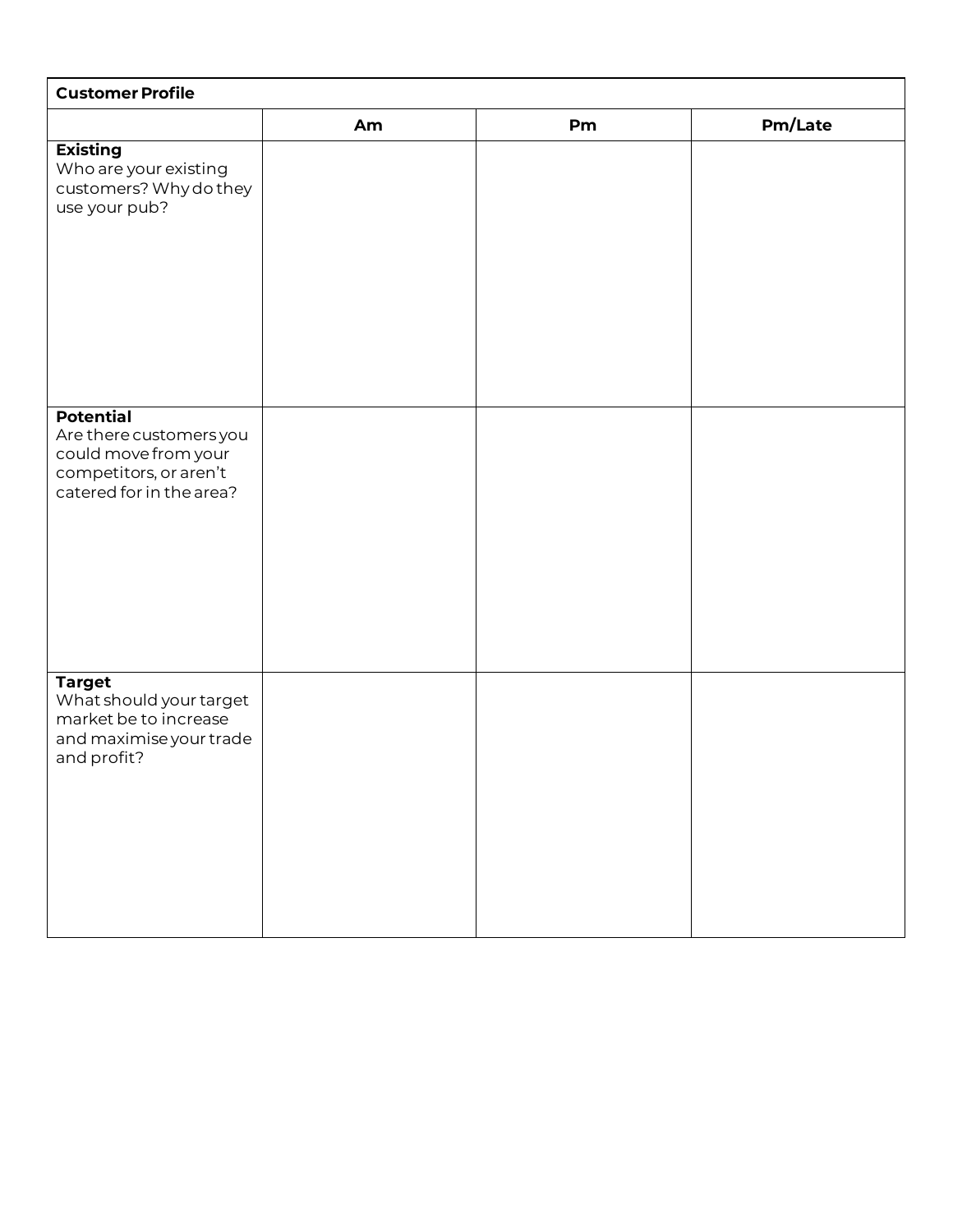| <b>Customer Profile</b>                                                                                                   |    |    |         |  |  |
|---------------------------------------------------------------------------------------------------------------------------|----|----|---------|--|--|
|                                                                                                                           | Am | Pm | Pm/Late |  |  |
| <b>Existing</b><br>Who are your existing<br>customers? Why do they<br>use your pub?                                       |    |    |         |  |  |
| <b>Potential</b><br>Are there customers you<br>could move from your<br>competitors, or aren't<br>catered for in the area? |    |    |         |  |  |
| <b>Target</b><br>What should your target<br>market be to increase<br>and maximise your trade<br>and profit?               |    |    |         |  |  |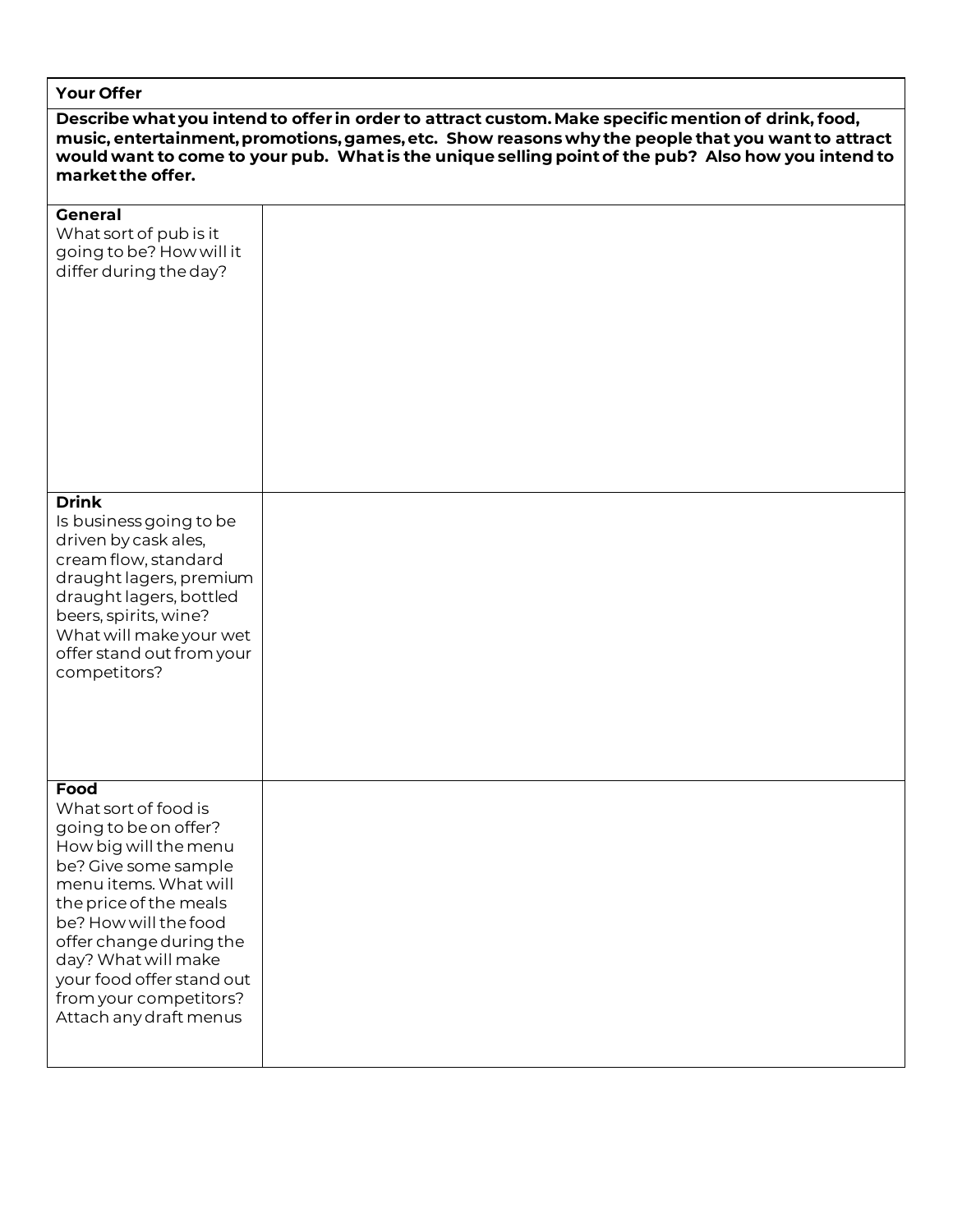## **Your Offer**

**Describe what you intend to offer in order to attract custom. Make specific mention of drink, food, music, entertainment, promotions, games, etc. Show reasons why the people that you want to attract would want to come to your pub. What is the unique selling point of the pub? Also how you intend to market the offer.**

| <b>General</b><br>What sort of pub is it<br>going to be? How will it<br>differ during the day?                                                                                                                                                                                                                        |  |
|-----------------------------------------------------------------------------------------------------------------------------------------------------------------------------------------------------------------------------------------------------------------------------------------------------------------------|--|
| <b>Drink</b><br>Is business going to be<br>driven by cask ales,<br>cream flow, standard<br>draught lagers, premium<br>draught lagers, bottled<br>beers, spirits, wine?<br>What will make your wet<br>offer stand out from your<br>competitors?                                                                        |  |
| Food<br>What sort of food is<br>going to be on offer?<br>How big will the menu<br>be? Give some sample<br>menu items. What will<br>the price of the meals<br>be? How will the food<br>offer change during the<br>day? What will make<br>your food offer stand out<br>from your competitors?<br>Attach any draft menus |  |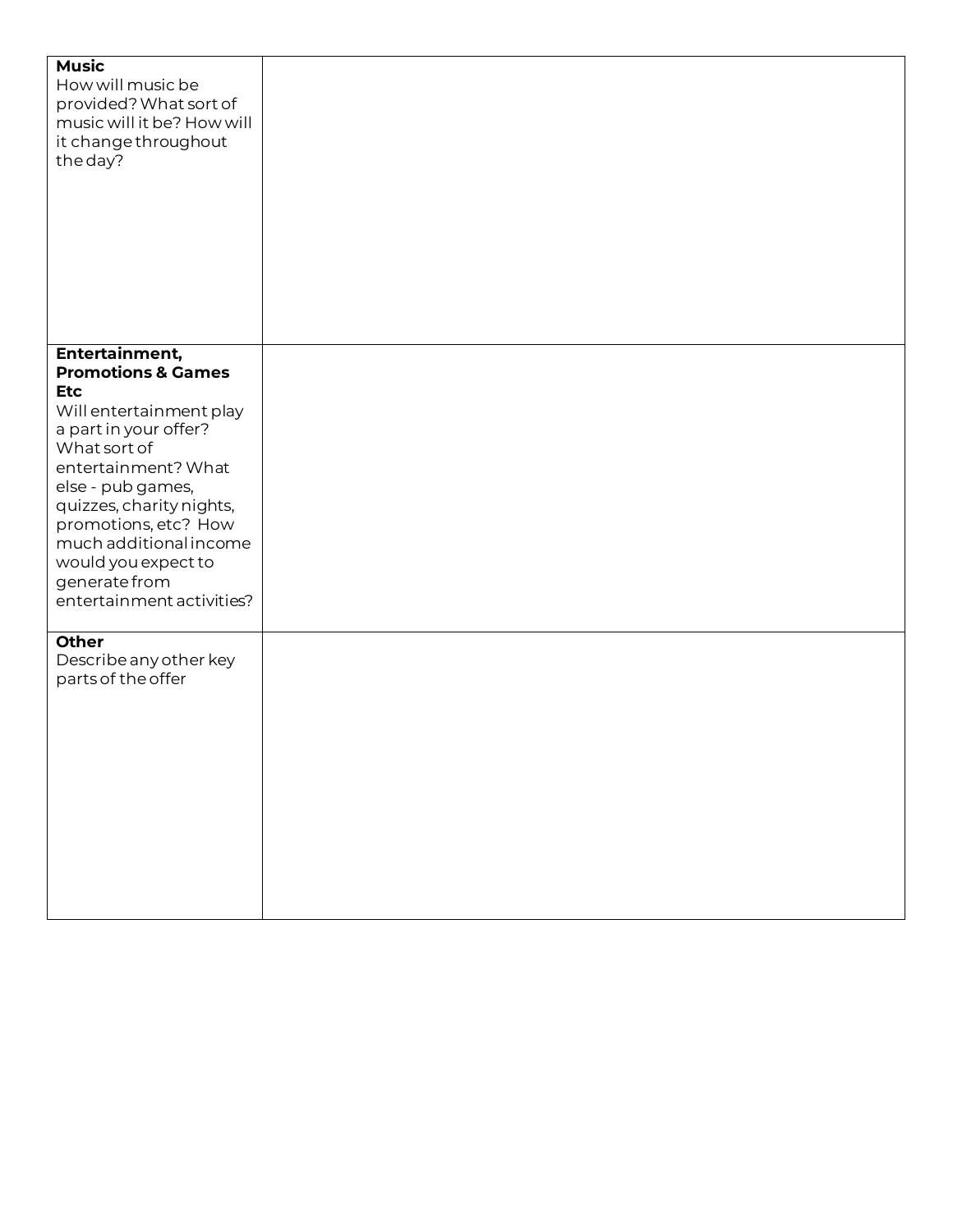| <b>Music</b><br>How will music be<br>provided? What sort of<br>music will it be? How will<br>it change throughout<br>the day?                                                                                                                                                                                                    |  |
|----------------------------------------------------------------------------------------------------------------------------------------------------------------------------------------------------------------------------------------------------------------------------------------------------------------------------------|--|
|                                                                                                                                                                                                                                                                                                                                  |  |
| Entertainment,<br><b>Promotions &amp; Games</b><br><b>Etc</b><br>Will entertainment play<br>a part in your offer?<br>What sort of<br>entertainment? What<br>else - pub games,<br>quizzes, charity nights,<br>promotions, etc? How<br>much additional income<br>would you expect to<br>generate from<br>entertainment activities? |  |
| Other<br>Describe any other key<br>parts of the offer                                                                                                                                                                                                                                                                            |  |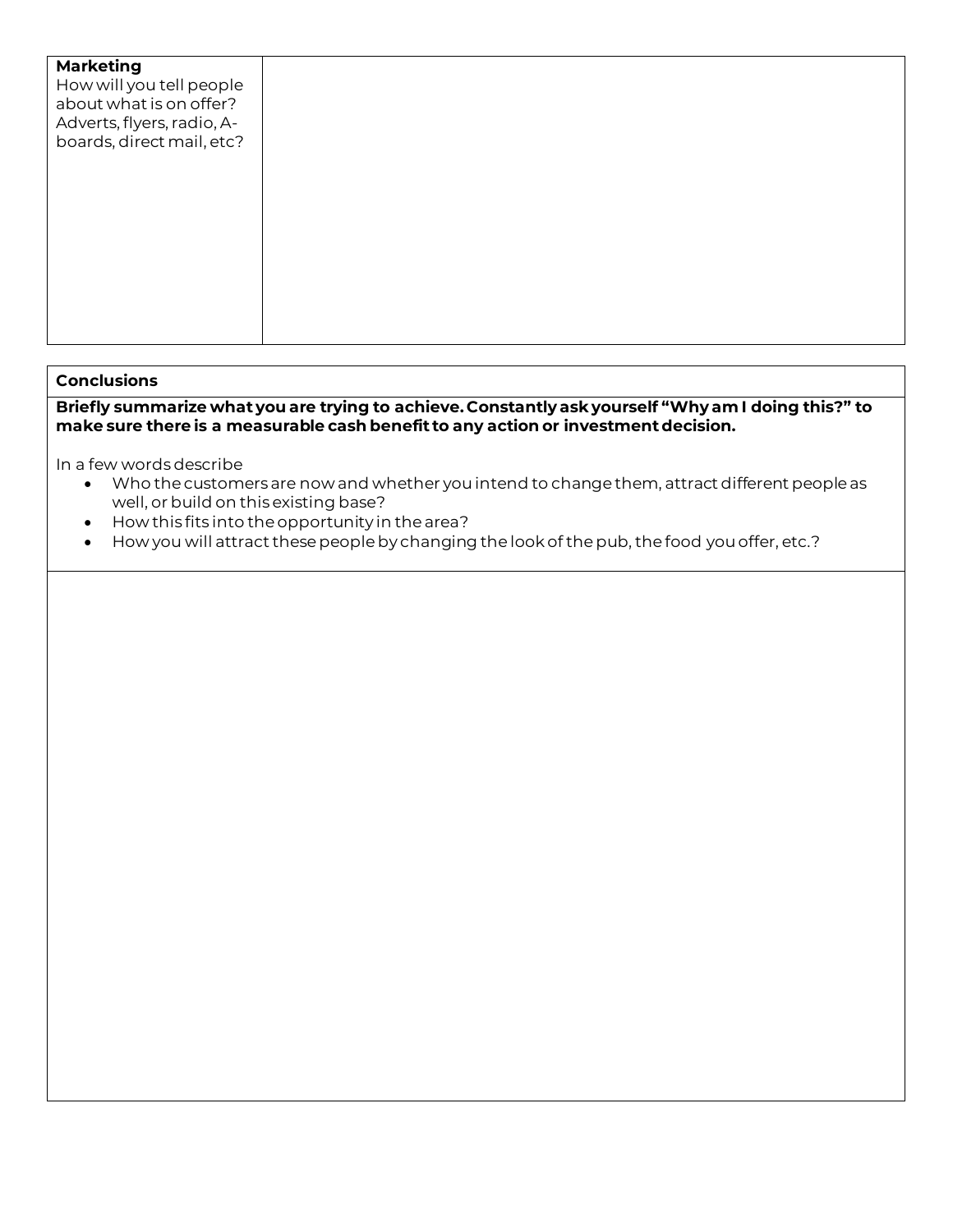| <b>Marketing</b><br>How will you tell people<br>about what is on offer?<br>Adverts, flyers, radio, A-<br>boards, direct mail, etc? |  |
|------------------------------------------------------------------------------------------------------------------------------------|--|
|                                                                                                                                    |  |

## **Conclusions**

**Briefly summarize what you are trying to achieve. Constantly ask yourself "Why am I doing this?" to make sure there is a measurable cash benefit to any action or investment decision.**

In a few words describe

- Who the customers are now and whether you intend to change them, attract different people as well, or build on this existing base?
- How this fits into the opportunity in the area?
- How you will attract these people by changing the look of the pub, the food you offer, etc.?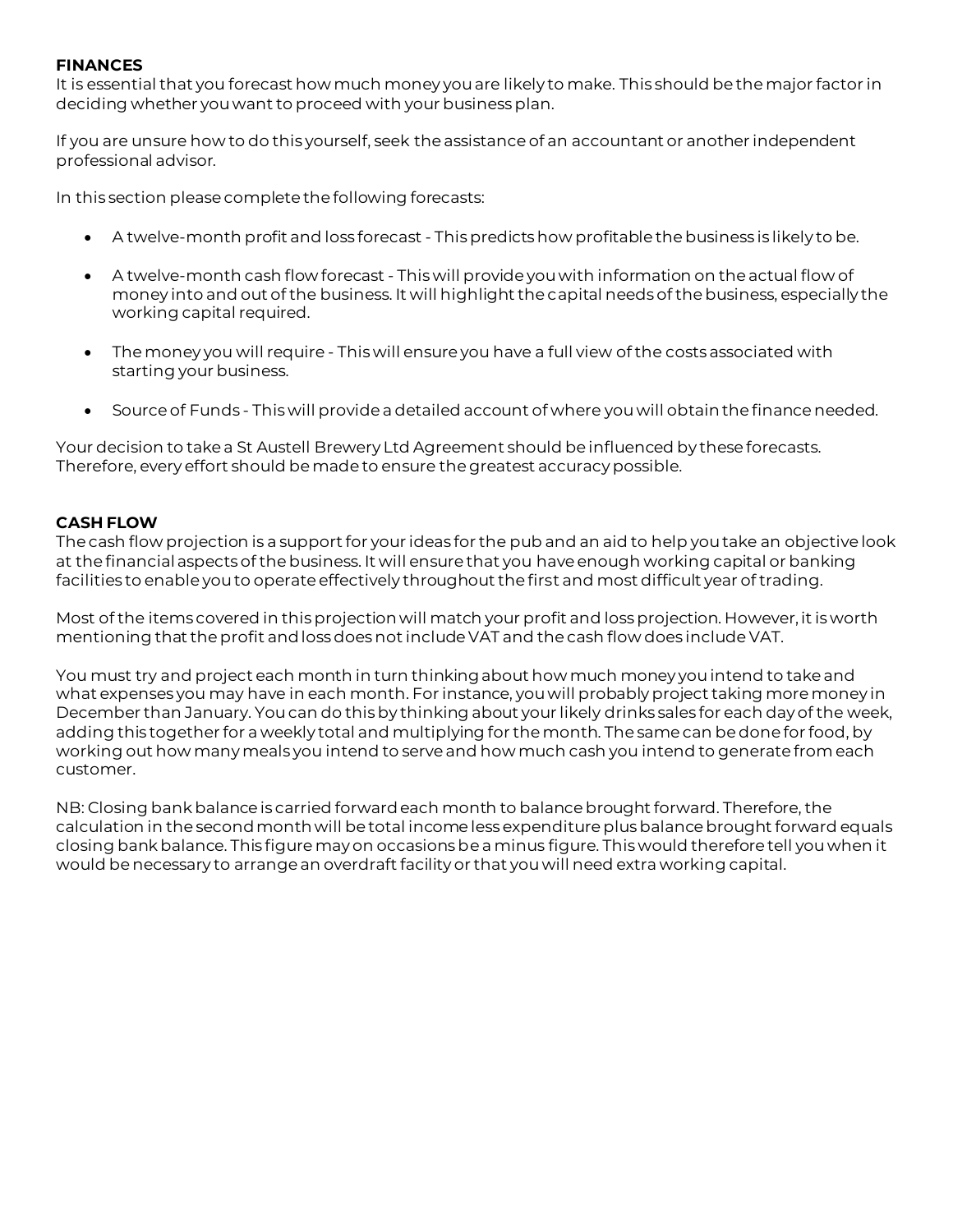## **FINANCES**

It is essential that you forecast how much money you are likely to make. This should be the major factor in deciding whether you want to proceed with your business plan.

If you are unsure how to do this yourself, seek the assistance of an accountant or another independent professional advisor.

In this section please complete the following forecasts:

- A twelve-month profit and loss forecast This predicts how profitable the business is likely to be.
- A twelve-month cash flow forecast This will provide you with information on the actual flow of money into and out of the business. It will highlight the capital needs of the business, especially the working capital required.
- The money you will require This will ensure you have a full view of the costs associated with starting your business.
- Source of Funds This will provide a detailed account of where you will obtain the finance needed.

Your decision to take a St Austell Brewery Ltd Agreement should be influenced by these forecasts. Therefore, every effort should be made to ensure the greatest accuracy possible.

## **CASH FLOW**

The cash flow projection is a support for your ideas for the pub and an aid to help you take an objective look at the financial aspects of the business. It will ensure that you have enough working capital or banking facilities to enable you to operate effectively throughout the first and most difficult year of trading.

Most of the items covered in this projection will match your profit and loss projection. However, it is worth mentioning that the profit and loss does not include VAT and the cash flow does include VAT.

You must try and project each month in turn thinking about how much money you intend to take and what expenses you may have in each month. For instance, you will probably project taking more money in December than January. You can do this by thinking about your likely drinks sales for each day of the week, adding this together for a weekly total and multiplying for the month. The same can be done for food, by working out how many meals you intend to serve and how much cash you intend to generate from each customer.

NB: Closing bank balance is carried forward each month to balance brought forward. Therefore, the calculation in the second month will be total income less expenditure plus balance brought forward equals closing bank balance. This figure may on occasions be a minus figure. This would therefore tell you when it would be necessary to arrange an overdraft facility or that you will need extra working capital.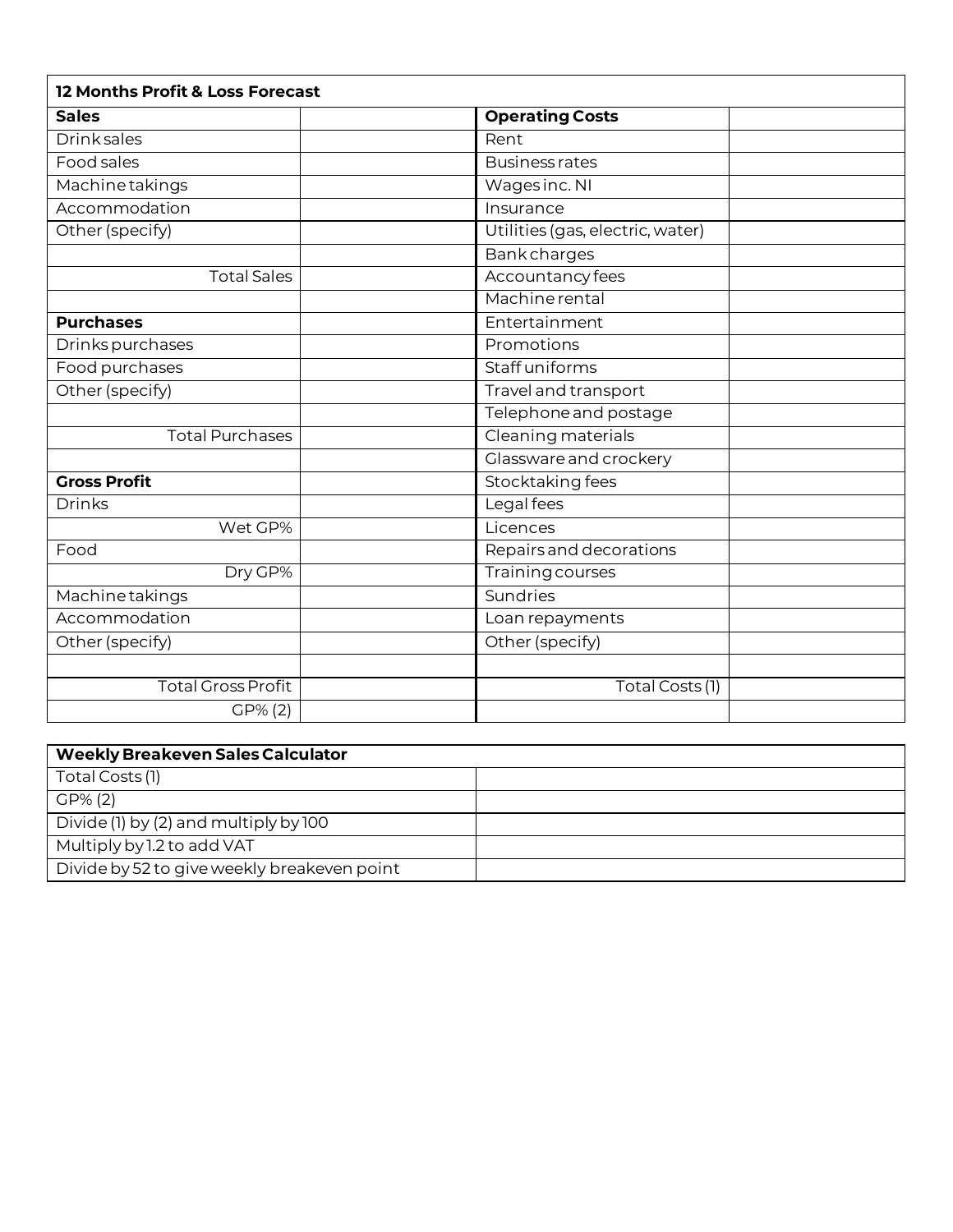| 12 Months Profit & Loss Forecast |                                  |  |  |  |  |
|----------------------------------|----------------------------------|--|--|--|--|
| <b>Sales</b>                     | <b>Operating Costs</b>           |  |  |  |  |
| <b>Drink</b> sales               | Rent                             |  |  |  |  |
| Food sales                       | <b>Business rates</b>            |  |  |  |  |
| Machine takings                  | Wages inc. NI                    |  |  |  |  |
| Accommodation                    | Insurance                        |  |  |  |  |
| Other (specify)                  | Utilities (gas, electric, water) |  |  |  |  |
|                                  | <b>Bankcharges</b>               |  |  |  |  |
| <b>Total Sales</b>               | Accountancy fees                 |  |  |  |  |
|                                  | Machine rental                   |  |  |  |  |
| <b>Purchases</b>                 | Entertainment                    |  |  |  |  |
| Drinks purchases                 | Promotions                       |  |  |  |  |
| Food purchases                   | Staff uniforms                   |  |  |  |  |
| Other (specify)                  | Travel and transport             |  |  |  |  |
|                                  | Telephone and postage            |  |  |  |  |
| <b>Total Purchases</b>           | Cleaning materials               |  |  |  |  |
|                                  | Glassware and crockery           |  |  |  |  |
| <b>Gross Profit</b>              | Stocktaking fees                 |  |  |  |  |
| <b>Drinks</b>                    | Legal fees                       |  |  |  |  |
| Wet GP%                          | Licences                         |  |  |  |  |
| Food                             | Repairs and decorations          |  |  |  |  |
| Dry GP%                          | Training courses                 |  |  |  |  |
| Machine takings                  | Sundries                         |  |  |  |  |
| Accommodation                    | Loan repayments                  |  |  |  |  |
| Other (specify)                  | Other (specify)                  |  |  |  |  |
|                                  |                                  |  |  |  |  |
| <b>Total Gross Profit</b>        | Total Costs (1)                  |  |  |  |  |
| GP% (2)                          |                                  |  |  |  |  |

| Weekly Breakeven Sales Calculator           |  |
|---------------------------------------------|--|
| Total Costs (1)                             |  |
| GP% (2)                                     |  |
| Divide (1) by (2) and multiply by 100       |  |
| Multiply by 1.2 to add VAT                  |  |
| Divide by 52 to give weekly breakeven point |  |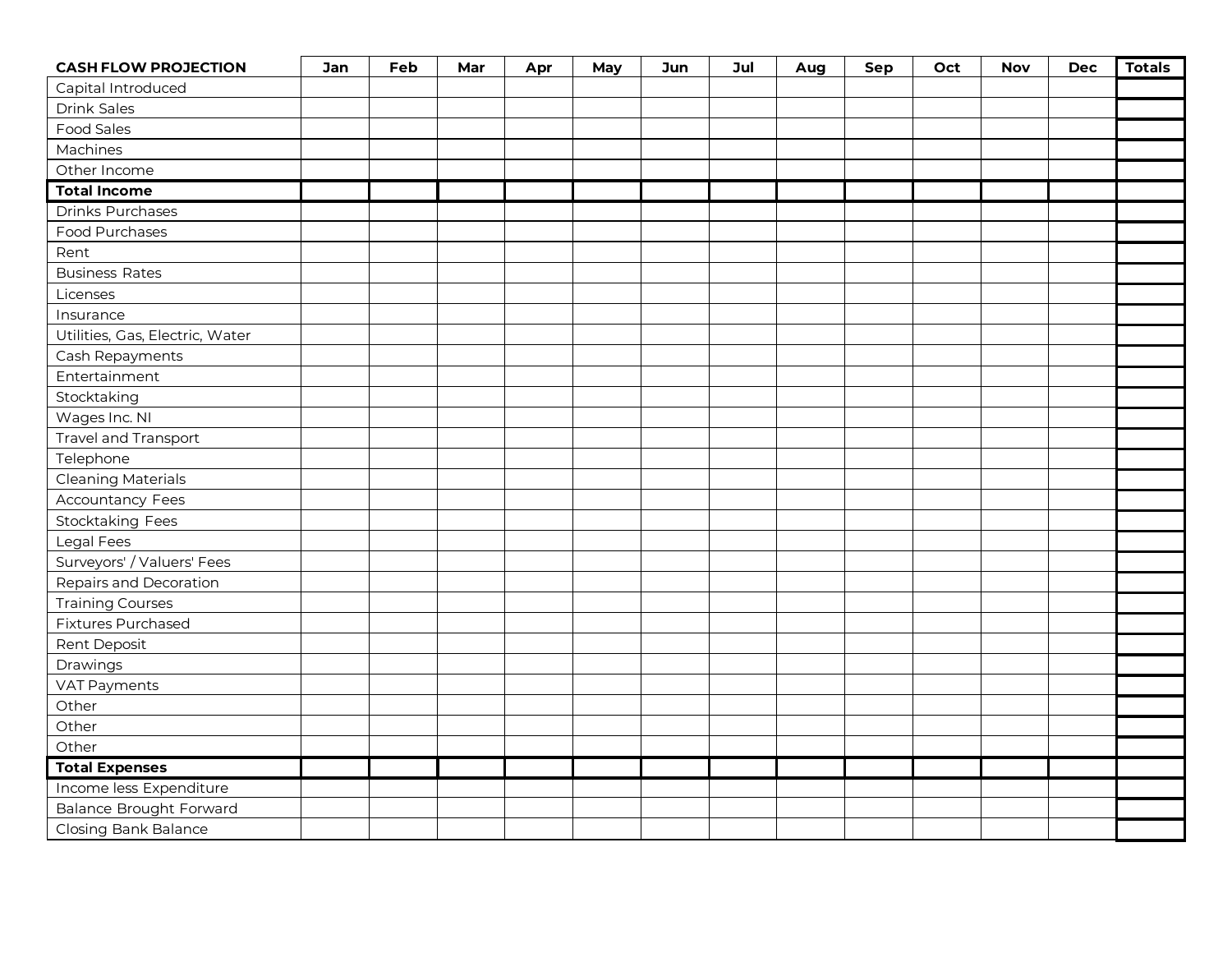| <b>CASH FLOW PROJECTION</b>     | Jan | Feb | Mar | Apr | May | Jun | Jul | Aug | Sep | Oct | <b>Nov</b> | <b>Dec</b> | <b>Totals</b> |
|---------------------------------|-----|-----|-----|-----|-----|-----|-----|-----|-----|-----|------------|------------|---------------|
| Capital Introduced              |     |     |     |     |     |     |     |     |     |     |            |            |               |
| Drink Sales                     |     |     |     |     |     |     |     |     |     |     |            |            |               |
| Food Sales                      |     |     |     |     |     |     |     |     |     |     |            |            |               |
| Machines                        |     |     |     |     |     |     |     |     |     |     |            |            |               |
| Other Income                    |     |     |     |     |     |     |     |     |     |     |            |            |               |
| <b>Total Income</b>             |     |     |     |     |     |     |     |     |     |     |            |            |               |
| Drinks Purchases                |     |     |     |     |     |     |     |     |     |     |            |            |               |
| Food Purchases                  |     |     |     |     |     |     |     |     |     |     |            |            |               |
| Rent                            |     |     |     |     |     |     |     |     |     |     |            |            |               |
| <b>Business Rates</b>           |     |     |     |     |     |     |     |     |     |     |            |            |               |
| Licenses                        |     |     |     |     |     |     |     |     |     |     |            |            |               |
| Insurance                       |     |     |     |     |     |     |     |     |     |     |            |            |               |
| Utilities, Gas, Electric, Water |     |     |     |     |     |     |     |     |     |     |            |            |               |
| Cash Repayments                 |     |     |     |     |     |     |     |     |     |     |            |            |               |
| Entertainment                   |     |     |     |     |     |     |     |     |     |     |            |            |               |
| Stocktaking                     |     |     |     |     |     |     |     |     |     |     |            |            |               |
| Wages Inc. NI                   |     |     |     |     |     |     |     |     |     |     |            |            |               |
| Travel and Transport            |     |     |     |     |     |     |     |     |     |     |            |            |               |
| Telephone                       |     |     |     |     |     |     |     |     |     |     |            |            |               |
| <b>Cleaning Materials</b>       |     |     |     |     |     |     |     |     |     |     |            |            |               |
| Accountancy Fees                |     |     |     |     |     |     |     |     |     |     |            |            |               |
| Stocktaking Fees                |     |     |     |     |     |     |     |     |     |     |            |            |               |
| Legal Fees                      |     |     |     |     |     |     |     |     |     |     |            |            |               |
| Surveyors' / Valuers' Fees      |     |     |     |     |     |     |     |     |     |     |            |            |               |
| Repairs and Decoration          |     |     |     |     |     |     |     |     |     |     |            |            |               |
| <b>Training Courses</b>         |     |     |     |     |     |     |     |     |     |     |            |            |               |
| Fixtures Purchased              |     |     |     |     |     |     |     |     |     |     |            |            |               |
| Rent Deposit                    |     |     |     |     |     |     |     |     |     |     |            |            |               |
| Drawings                        |     |     |     |     |     |     |     |     |     |     |            |            |               |
| <b>VAT Payments</b>             |     |     |     |     |     |     |     |     |     |     |            |            |               |
| Other                           |     |     |     |     |     |     |     |     |     |     |            |            |               |
| Other                           |     |     |     |     |     |     |     |     |     |     |            |            |               |
| Other                           |     |     |     |     |     |     |     |     |     |     |            |            |               |
| <b>Total Expenses</b>           |     |     |     |     |     |     |     |     |     |     |            |            |               |
| Income less Expenditure         |     |     |     |     |     |     |     |     |     |     |            |            |               |
| <b>Balance Brought Forward</b>  |     |     |     |     |     |     |     |     |     |     |            |            |               |
| Closing Bank Balance            |     |     |     |     |     |     |     |     |     |     |            |            |               |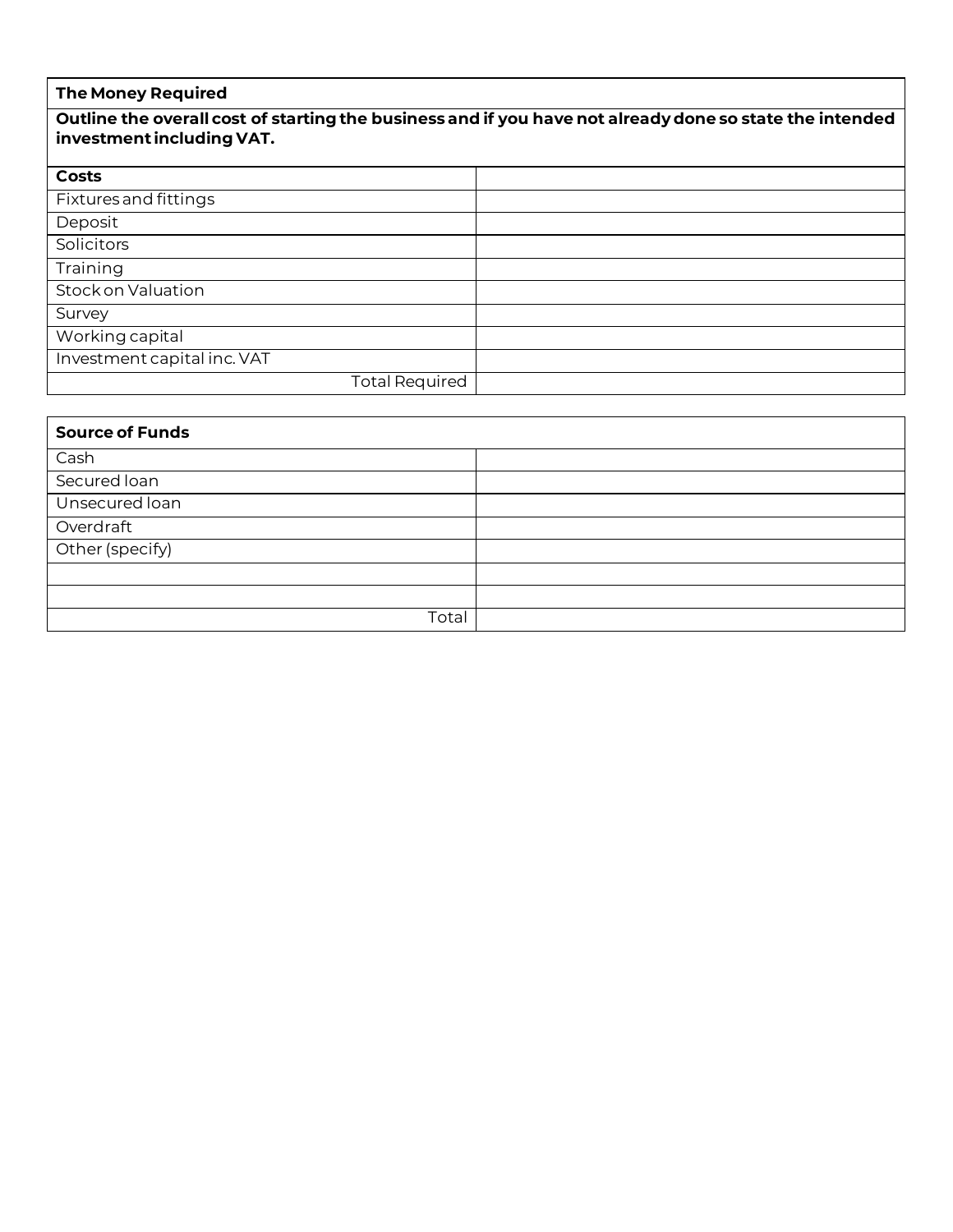## **The Money Required**

## **Outline the overall cost of starting the business and if you have not already done so state the intended investment including VAT.**

| Costs                       |  |
|-----------------------------|--|
| Fixtures and fittings       |  |
| Deposit                     |  |
| Solicitors                  |  |
| Training                    |  |
| Stock on Valuation          |  |
| Survey                      |  |
| Working capital             |  |
| Investment capital inc. VAT |  |
| <b>Total Required</b>       |  |

| <b>Source of Funds</b> |  |
|------------------------|--|
| Cash                   |  |
| Secured loan           |  |
| Unsecured loan         |  |
| Overdraft              |  |
| Other (specify)        |  |
|                        |  |
|                        |  |
| Total                  |  |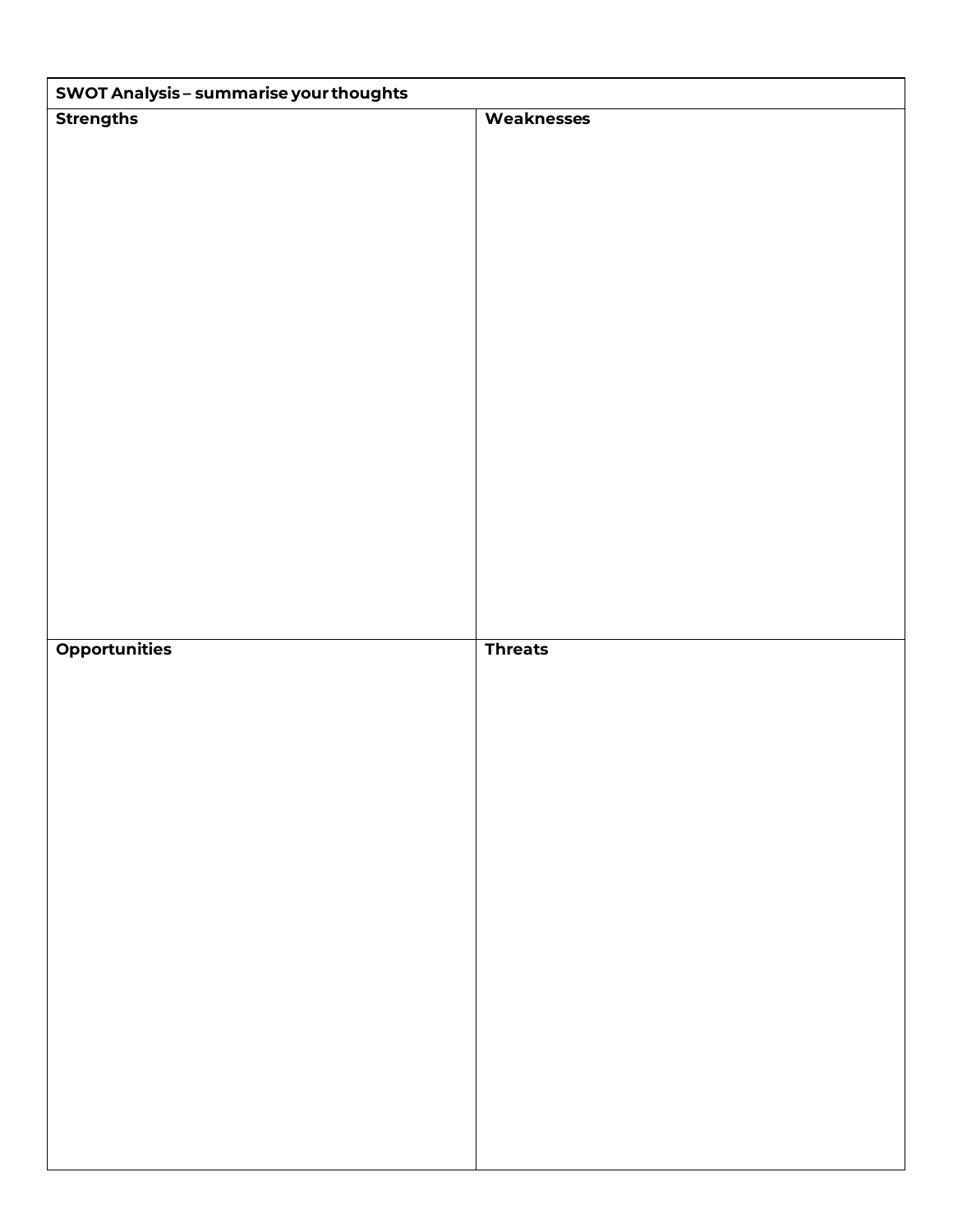| SWOT Analysis - summarise your thoughts |                |  |  |
|-----------------------------------------|----------------|--|--|
| <b>Strengths</b>                        | Weaknesses     |  |  |
|                                         |                |  |  |
|                                         |                |  |  |
|                                         |                |  |  |
|                                         |                |  |  |
|                                         |                |  |  |
|                                         |                |  |  |
|                                         |                |  |  |
|                                         |                |  |  |
|                                         |                |  |  |
|                                         |                |  |  |
|                                         |                |  |  |
|                                         |                |  |  |
|                                         |                |  |  |
|                                         |                |  |  |
|                                         |                |  |  |
|                                         |                |  |  |
|                                         |                |  |  |
| <b>Opportunities</b>                    | <b>Threats</b> |  |  |
|                                         |                |  |  |
|                                         |                |  |  |
|                                         |                |  |  |
|                                         |                |  |  |
|                                         |                |  |  |
|                                         |                |  |  |
|                                         |                |  |  |
|                                         |                |  |  |
|                                         |                |  |  |
|                                         |                |  |  |
|                                         |                |  |  |
|                                         |                |  |  |
|                                         |                |  |  |
|                                         |                |  |  |
|                                         |                |  |  |
|                                         |                |  |  |
|                                         |                |  |  |
|                                         |                |  |  |